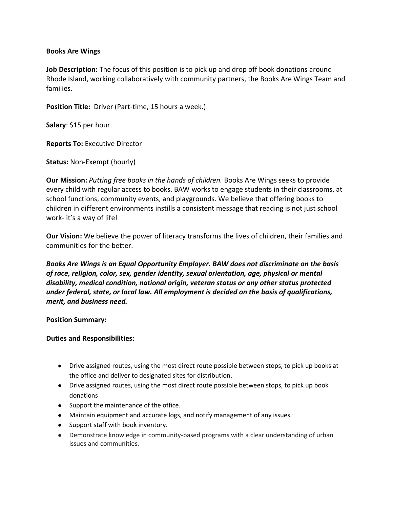## **Books Are Wings**

**Job Description:** The focus of this position is to pick up and drop off book donations around Rhode Island, working collaboratively with community partners, the Books Are Wings Team and families.

**Position Title:** Driver (Part-time, 15 hours a week.)

**Salary**: \$15 per hour

**Reports To:** Executive Director

**Status:** Non-Exempt (hourly)

**Our Mission:** *Putting free books in the hands of children.* Books Are Wings seeks to provide every child with regular access to books. BAW works to engage students in their classrooms, at school functions, community events, and playgrounds. We believe that offering books to children in different environments instills a consistent message that reading is not just school work- it's a way of life!

**Our Vision:** We believe the power of literacy transforms the lives of children, their families and communities for the better.

*Books Are Wings is an Equal Opportunity Employer. BAW does not discriminate on the basis of race, religion, color, sex, gender identity, sexual orientation, age, physical or mental disability, medical condition, national origin, veteran status or any other status protected under federal, state, or local law. All employment is decided on the basis of qualifications, merit, and business need.*

**Position Summary:** 

**Duties and Responsibilities:** 

- Drive assigned routes, using the most direct route possible between stops, to pick up books at the office and deliver to designated sites for distribution.
- Drive assigned routes, using the most direct route possible between stops, to pick up book donations
- Support the maintenance of the office.
- Maintain equipment and accurate logs, and notify management of any issues.
- Support staff with book inventory.
- Demonstrate knowledge in community-based programs with a clear understanding of urban issues and communities.